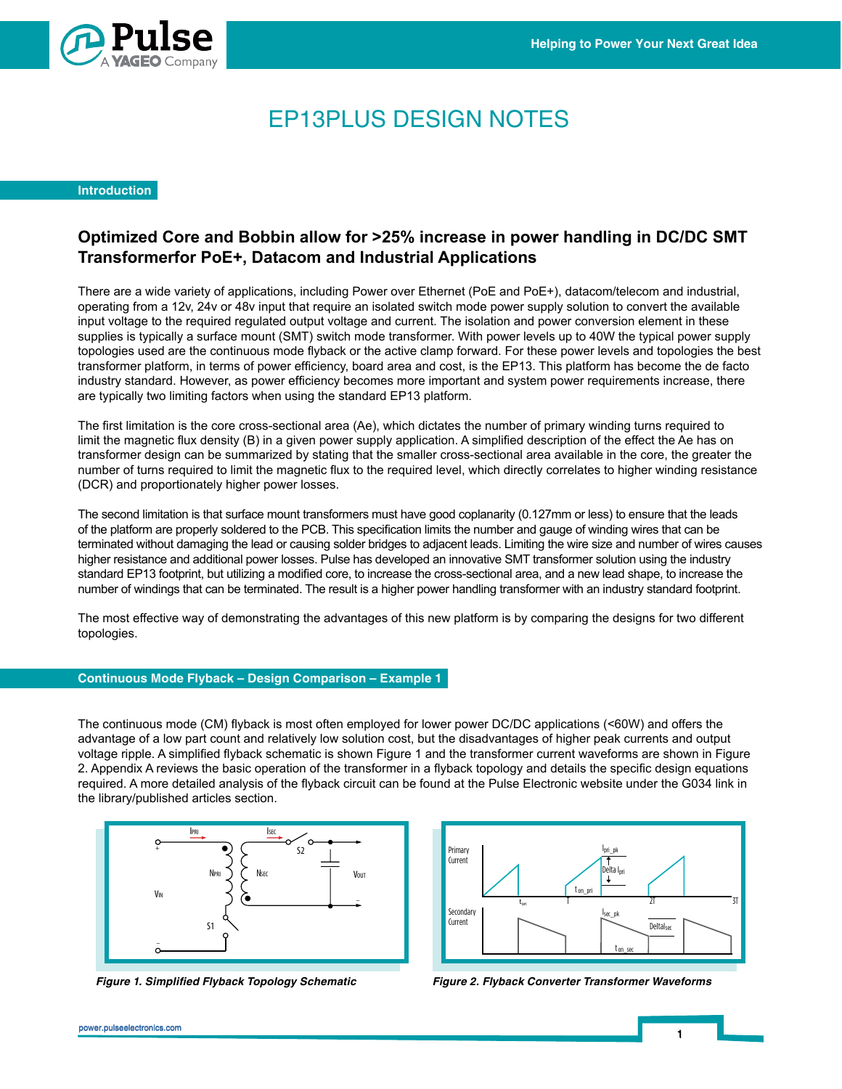

# EP13PLUS DESIGN NOTES

# **Introduction**

## **Optimized Core and Bobbin allow for >25% increase in power handling in DC/DC SMT Transformerfor PoE+, Datacom and Industrial Applications** John Gallagher, Staff FAE

The maximizant distribution is including Power over Ethernet in Fore are a wideon higher and the prior over Ethernet (PoE and PoE+), datacom/telecom and prior the forest applications, including applications, the prior ove operating from a 12v, 24v or 48v input that require an isolated switch mode power supply solution to convert the available input voltage to the required regulated output voltage and current. The isolation and power conversion element in these supplies is typically a surface mount (SMT) switch mode transformer. With power levels up to 40W the typical power supply topologies used are the continuous mode flyback or the active clamp forward. For these power levels and topologies the best transformer platform, in terms of power efficiency, board area and cost, is the EP13. This platform has become the de facto industry standard. However, as power efficiency, board area and cost, is the ETT0. This platform has become the de factority industry standard. However, as power efficiency becomes more important and system power requireme are typically two limiting factors when using the standard EP13 platform. There are a wide variety of applications, including Power over Ethernet (PoE and PoE+), datacom/telecom and industrial,

The first limitation is the core cross-sectional area (Ae), which dictates the number of primary winding turns required to limit the magnetic flux density (B) in a given power supply application. A simplified description of the effect the Ae has on transformer design can be summarized by stating that the smaller cross-sectional area available in the core, the greater the number of turns required to limit the magnetic flux to the required level, which directly correlates to higher winding resistance (DCR) and proportionately higher power losses.

The second limitation is that surface mount transformers must have good coplanarity (0.127mm or less) to ensure that the leads of the platform are properly soldered to the PCB. This specification limits the number and gauge of winding wires that can be terminated without damaging the lead or causing solder bridges to adjacent leads. Limiting the wire size and number of wires causes in mated windot damaging the lead of eadsing solder bridges to adjacent leads. Elmining the wife size and number of wifes eads<br>higher resistance and additional power losses. Pulse has developed an innovative SMT transforme standard EP13 footprint, but utilizing a modified core, to increase the cross-sectional area, and a new lead shape, to increase the number of windings that can be terminated. The result is a higher power handling transformer with an industry standard footprint.

The most effective way of demonstrating the advantages of this new platform is by comparing the designs for two different topologies. The effect the Ae has on transformer design can be summarized by stating  $\sim$ 

### **Continuous Mode Flyback – Design Comparison – Example 1** which directly correlates to higher winding resistance (DCR) and proportional propor-

The continuous mode (CM) flyback is most often employed for lower power DC/DC applications (<60W) and offers the advantage of a low part count and relatively low solution cost, but the disadvantages of higher peak currents and output S1 voltage ripple. A simplified flyback schematic is shown Figure 1 and the transformer current waveforms are shown in Figure 2. Appendix A reviews the basic operation of the transformer in a flyback topology and details the specific design equations required. A more detailed analysis of the flyback circuit can be found at the Pulse Electronic website under the G034 link in required. A more detailed arialysis or the hyback circuit<br>the library/published articles section.





**Figure 1. Simplified Flyback Topology Schematic** EP13 PLUS DESIGN NOTES.A (3/13) 1 pulseelectronics.com

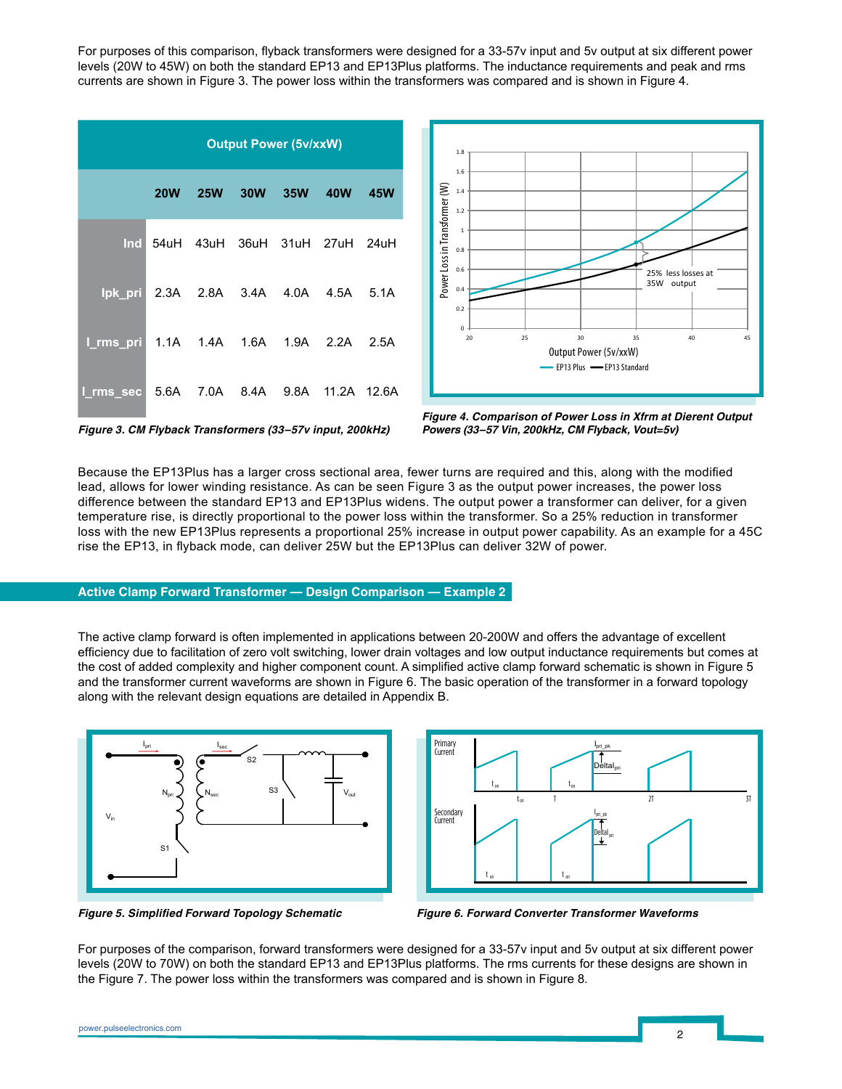For purposes of this comparison, flyback transformers were designed for a 33-57v input and 5v output at six different power levels (20W to 45W) on both the standard EP13 and EP13Plus platforms. The inductance requirements and peak and rms currents are shown in Figure 3. The power loss within the transformers was compared and is shown in Figure 4.

| <b>Output Power (5v/xxW)</b>            |            |            |  |         |                               |             |  |  |
|-----------------------------------------|------------|------------|--|---------|-------------------------------|-------------|--|--|
|                                         | <b>20W</b> | <b>25W</b> |  | 30W 35W | <b>40W</b>                    | 45W         |  |  |
| <b>Ind</b>                              |            |            |  |         | 54uH 43uH 36uH 31uH 27uH 24uH |             |  |  |
| lpk_pri  2.3A  2.8A  3.4A  4.0A  4.5A   |            |            |  |         |                               | 5.1A        |  |  |
| I_rms_pri  1.1A  1.4A  1.6A  1.9A  2.2A |            |            |  |         |                               | 2.5A        |  |  |
| I_rms_sec 5.6A 7.0A 8.4A 9.8A           |            |            |  |         |                               | 11.2A 12.6A |  |  |



Figure 3. CM Flyback Transformers (33-57v input, 200kHz)

**Figure 4. Comparison of Power Loss in Xfrm at Dierent Output Powers (33–57 Vin, 200kHz, CM Flyback, Vout=5v)**

Because the EP13Plus has a larger cross sectional area, fewer turns are required and this, along with the modified **DESIGN NOTES** Simplified Forward Topology Schematic Because the EP for its has a larger cross sectional area, lewer turns are required and this, along with the mounie<br>lead, allows for lower winding resistance. As can be seen Figure 3 as the output power increases, the power difference between the standard EP13 and EP13Plus widens. The output power a transformer can deliver, for a given<br>temperature rise, is directly prepertional to the power loss within the transformer. So a 25% reduction in t temperature rise, is directly proportional to the power loss within the transformer. So a 25% reduction in transformer loss with the new EP13Plus represents a proportional 25% increase in output power capability. As an example for a 45C<br>The LB43 in flybook made, as a deliver 25M byt the ED13Plus see deliver 20M of several rise the EP13, in flyback mode, can deliver 25W but the EP13Plus can deliver 32W of power.

### **Active Clamp Forward Transformer — Design Comparison — Example 2** requirements but comes at the cost of added complexity and higher

The active clamp forward is often implemented in applications between 20-200W and offers the advantage of excellent The active clamp forward is often implemented in applications between 20-2000 and oners the advantage or excellent<br>efficiency due to facilitation of zero volt switching, lower drain voltages and low output inductance requi the cost of added complexity and higher component count. A simplified active clamp forward schematic is shown in Figure 5 and the transformer current waveforms are shown in Figure 6. The basic operation of the transformer in a forward topology along with the relevant design equations are detailed in Appendix B. component count. A simplified active clamp forward schematic is shown





for these designs are shown in the Figure 7. The power loss within the

**Figure 5. Simplified Forward Topology Schematic Figure 6. Forward Converter Transformer Waveforms** Figure 5.

For purposes of the comparison, forward transformers were designed for a 33-57v input and 5v output at six different power levels (20W to 70W) on both the standard EP13 and EP13Plus platforms. The rms currents for these designs are shown in the Figure 7. The power loss within the transformers was compared and is shown in Figure 8.

Figure 5. Simplified Forward Topology Schematic

Comparison of Power Loss in Xfrm at Dierent Output Powers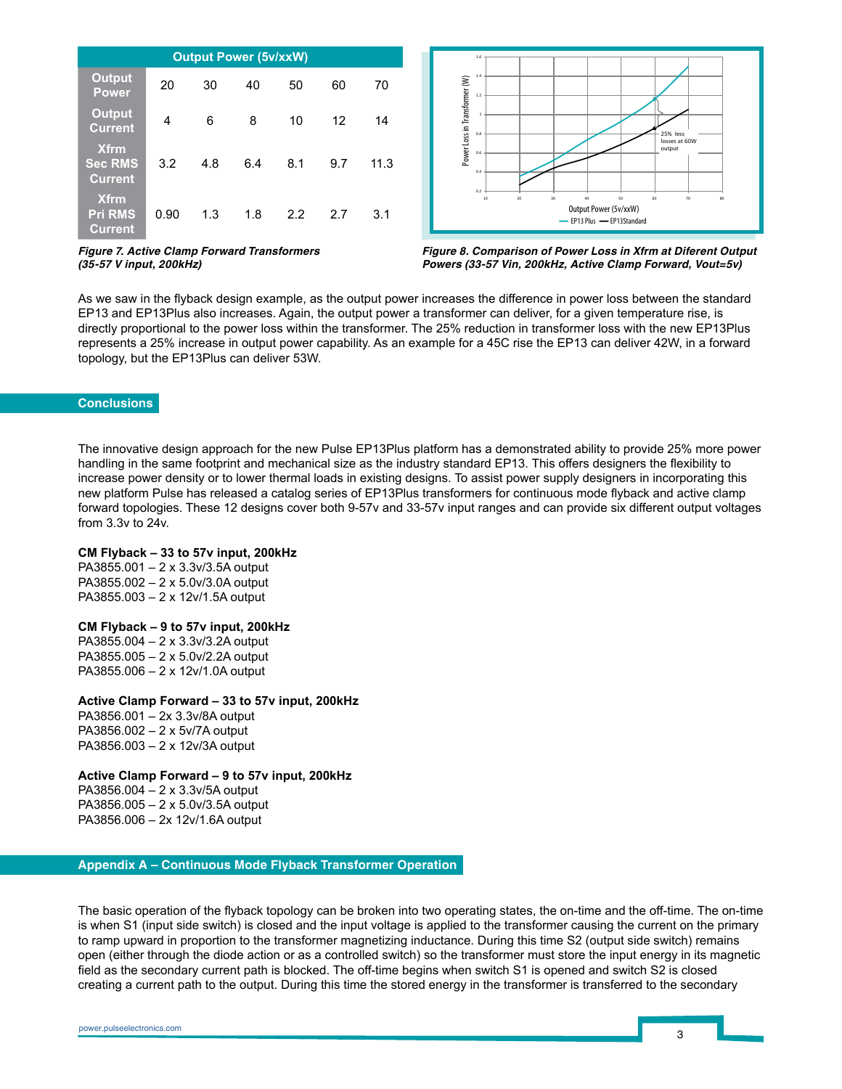| <b>Output Power (5v/xxW)</b>                    |      |     |     |     |     |      |  |  |  |  |  |
|-------------------------------------------------|------|-----|-----|-----|-----|------|--|--|--|--|--|
| <b>Output</b><br><b>Power</b>                   | 20   | 30  | 40  | 50  | 60  | 70   |  |  |  |  |  |
| <b>Output</b><br><b>Current</b>                 | 4    | 6   | 8   | 10  | 12  | 14   |  |  |  |  |  |
| <b>Xfrm</b><br><b>Sec RMS</b><br><b>Current</b> | 3.2  | 4.8 | 6.4 | 8.1 | 9.7 | 11.3 |  |  |  |  |  |
| <b>Xfrm</b><br><b>Pri RMS</b><br><b>Current</b> | 0.90 | 1.3 | 1.8 | 2.2 | 2.7 | 3.1  |  |  |  |  |  |



**Figure 7. Active Clamp Forward Transformers (35-57 V input, 200kHz)**

**Figure 8. Comparison of Power Loss in Xfrm at Diferent Output Powers (33-57 Vin, 200kHz, Active Clamp Forward, Vout=5v)**

As we saw in the flyback design example, as the output power increases the difference in power loss between the standard EP13 and EP13Plus also increases. Again, the output power a transformer can deliver, for a given temperature rise, is directly proportional to the power loss within the transformer. The 25% reduction in transformer loss with the new EP13Plus represents a 25% increase in output power capability. As an example for a 45C rise the EP13 can deliver 42W, in a forward topology, but the EP13Plus can deliver 53W.

#### **Conclusions**

The innovative design approach for the new Pulse EP13Plus platform has a demonstrated ability to provide 25% more power handling in the same footprint and mechanical size as the industry standard EP13. This offers designers the flexibility to increase power density or to lower thermal loads in existing designs. To assist power supply designers in incorporating this new platform Pulse has released a catalog series of EP13Plus transformers for continuous mode flyback and active clamp forward topologies. These 12 designs cover both 9-57v and 33-57v input ranges and can provide six different output voltages from 3.3v to 24v.

#### **CM Flyback – 33 to 57v input, 200kHz**

PA3855.001 – 2 x 3.3v/3.5A output PA3855.002 – 2 x 5.0v/3.0A output PA3855.003 – 2 x 12v/1.5A output

#### **CM Flyback – 9 to 57v input, 200kHz**

PA3855.004 – 2 x 3.3v/3.2A output PA3855.005 – 2 x 5.0v/2.2A output PA3855.006 – 2 x 12v/1.0A output

#### **Active Clamp Forward – 33 to 57v input, 200kHz**

PA3856.001 – 2x 3.3v/8A output PA3856.002 – 2 x 5v/7A output PA3856.003 – 2 x 12v/3A output

#### **Active Clamp Forward – 9 to 57v input, 200kHz**

PA3856.004 – 2 x 3.3v/5A output PA3856.005 – 2 x 5.0v/3.5A output PA3856.006 – 2x 12v/1.6A output

**Appendix A – Continuous Mode Flyback Transformer Operation**

The basic operation of the flyback topology can be broken into two operating states, the on-time and the off-time. The on-time is when S1 (input side switch) is closed and the input voltage is applied to the transformer causing the current on the primary to ramp upward in proportion to the transformer magnetizing inductance. During this time S2 (output side switch) remains open (either through the diode action or as a controlled switch) so the transformer must store the input energy in its magnetic field as the secondary current path is blocked. The off-time begins when switch S1 is opened and switch S2 is closed creating a current path to the output. During this time the stored energy in the transformer is transferred to the secondary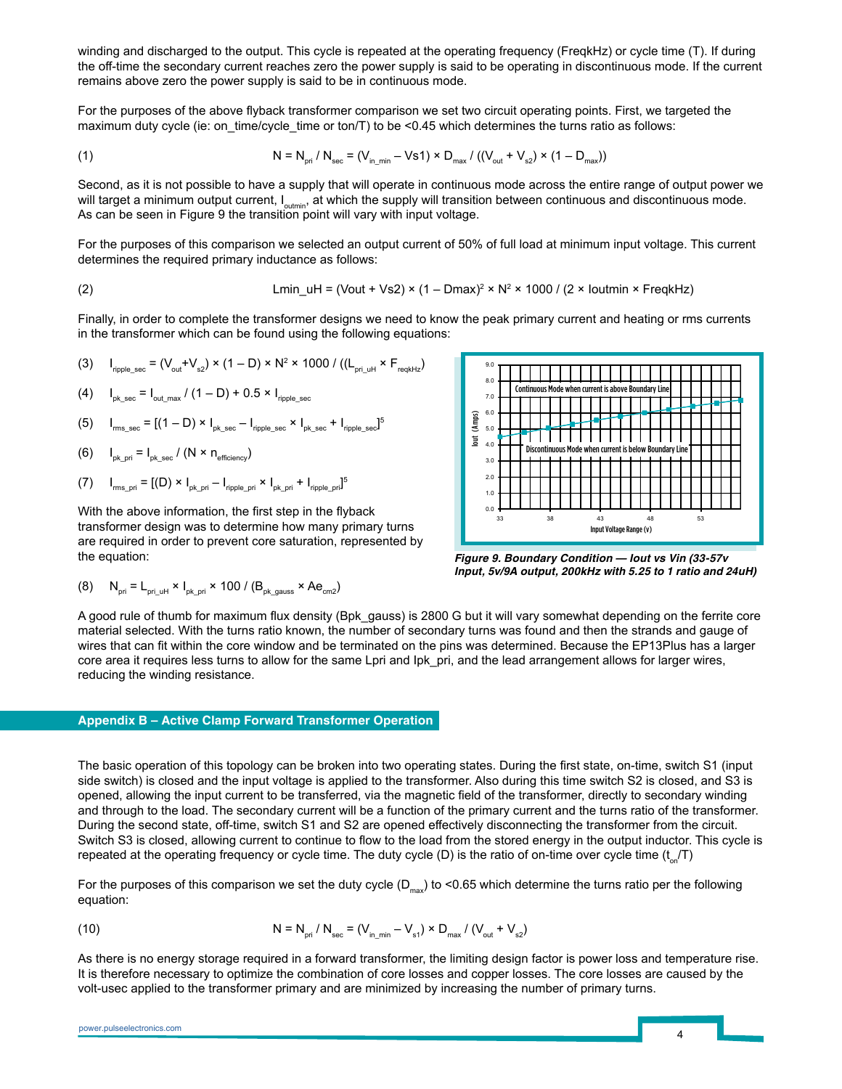winding and discharged to the output. This cycle is repeated at the operating frequency (FreqkHz) or cycle time (T). If during the off-time the secondary current reaches zero the power supply is said to be operating in discontinuous mode. If the current remains above zero the power supply is said to be in continuous mode. ing the secondary current reaches zero the secondary current reaches  $\alpha$ 

For the purposes of the above flyback transformer comparison we set two circuit operating points. First, we targeted the maximum duty cycle (ie: on\_time/cycle\_time or ton/T) to be <0.45 which determines the turns ratio as follows:

(1) 
$$
N = N_{\text{pri}} / N_{\text{sec}} = (V_{\text{in\_min}} - Vs1) \times D_{\text{max}} / ((V_{\text{out}} + V_{s2}) \times (1 - D_{\text{max}}))
$$

Second, as it is not possible to have a supply that will operate in continuous mode across the entire range of output power we observal, as the net possible to have a supply that the supply will transition between continuous and discontinuous mode.<br>Will target a minimum output current, I<sub>outmin</sub>, at which the supply will transition between continu As can be seen in Figure 9 the transition point will vary with input voltage.

For the purposes of this comparison we selected an output current of 50% of full load at minimum input voltage. This current determines the required primary inductance as follows:

$$
Lmin\_uH = (Vout + Vs2) \times (1 - Dmax)^2 \times N^2 \times 1000 / (2 \times Ioutmin \times FreqkHz)
$$

Finally, in order to complete the transformer designs we need to know the peak primary current and heating or rms currents in the transformer which can be found using the following equations:

(3)  $I_{\sf ripple\_sec} = (V_{\sf out} + V_{\sf s2}) \times (1 - D) \times N^2 \times 1000$  /  $((L_{\sf pri\_uH} \times F_{\sf redkHz})$ 

(4) 
$$
I_{\text{pk\_sec}} = I_{\text{out\_max}} / (1 - D) + 0.5 \times I_{\text{inpole\_sec}}
$$

(5)  $I_{\text{rms\_sec}} = [(1 - D) \times I_{\text{pk\_sec}} - I_{\text{rpple\_sec}} \times I_{\text{pk\_sec}} + I_{\text{rpple\_sec}}]^5$ 

(6) 
$$
I_{\text{pk\_pri}} = I_{\text{pk\_sec}} / (N \times n_{\text{efficiency}})
$$

(7)  $I_{\text{rms\_pri}} = [(D) \times I_{\text{pk\_pri}} - I_{\text{ripole\_pri}} \times I_{\text{pk\_pri}} + I_{\text{ripole\_pri}}]^5$ 

With the above information, the first step in the flyback transformer design was to determine how many primary turns are required in order to prevent core saturation, represented by the equation:

(8) 
$$
N_{\text{pri}} = L_{\text{pri\_uH}} \times I_{\text{pk\_pi}} \times 100 / (B_{\text{pk\_gauss}} \times Ae_{\text{cm2}})
$$



**Figure 9. Boundary Condition — Iout vs Vin (33-57v**  Figure 9. **Input, 5v/9A output, 200kHz with 5.25 to 1 ratio and 24uH)**

A good rule of thumb for maximum flux density (Bpk\_gauss) is 2800 G but it will vary somewhat depending on the ferrite core material selected. With the turns ratio known, the number of secondary turns was found and then the strands and gauge of wires that can fit within the core window and be terminated on the pins was determined. Because the EP13Plus has a larger core area it requires less turns to allow for the same Lpri and lpk pri, and the lead arrangement allows for larger wires, reducing the winding resistance.

#### **Appendix B – Active Clamp Forward Transformer Operation**

The basic operation of this topology can be broken into two operating states. During the first state, on-time, switch S1 (input side switch) is closed and the input voltage is applied to the transformer. Also during this time switch S2 is closed, and S3 is opened, allowing the input current to be transferred, via the magnetic field of the transformer, directly to secondary winding and through to the load. The secondary current will be a function of the primary current and the turns ratio of the transformer. During the second state, off-time, switch S1 and S2 are opened effectively disconnecting the transformer from the circuit. Switch S3 is closed, allowing current to continue to flow to the load from the stored energy in the output inductor. This cycle is repeated at the operating frequency or cycle time. The duty cycle (D) is the ratio of on-time over cycle time  $(t_{\alpha}/T)$ 

For the purposes of this comparison we set the duty cycle  $(D_{max})$  to <0.65 which determine the turns ratio per the following equation:

(10) 
$$
N = N_{\text{pri}} / N_{\text{sec}} = (V_{\text{in\_min}} - V_{\text{st}}) \times D_{\text{max}} / (V_{\text{out}} + V_{\text{st}})
$$

As there is no energy storage required in a forward transformer, the limiting design factor is power loss and temperature rise. It is therefore necessary to optimize the combination of core losses and copper losses. The core losses are caused by the volt-usec applied to the transformer primary and are minimized by increasing the number of primary turns.